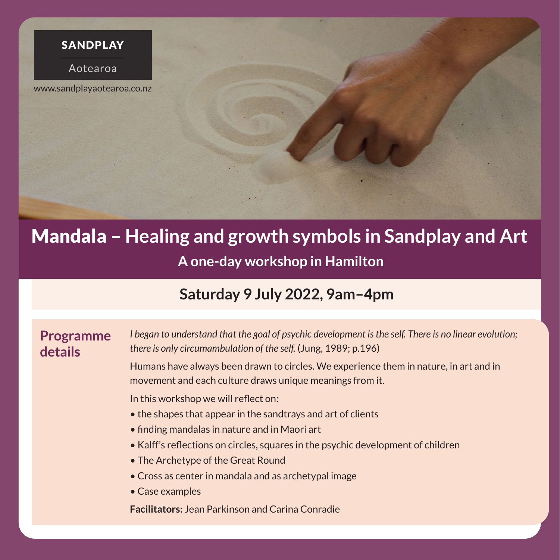

# **A one-day workshop in Hamilton** Mandala – **Healing and growth symbols in Sandplay and Art**

## **Saturday 9 July 2022, 9am–4pm**

### **Programme details**

*I began to understand that the goal of psychic development is the self. There is no linear evolution; there is only circumambulation of the self.* (Jung, 1989; p.196)

Humans have always been drawn to circles. We experience them in nature, in art and in movement and each culture draws unique meanings from it.

In this workshop we will reflect on:

- the shapes that appear in the sandtrays and art of clients
- finding mandalas in nature and in Maori art
- Kalff's reflections on circles, squares in the psychic development of children
- The Archetype of the Great Round
- Cross as center in mandala and as archetypal image
- Case examples

**Facilitators:** Jean Parkinson and Carina Conradie